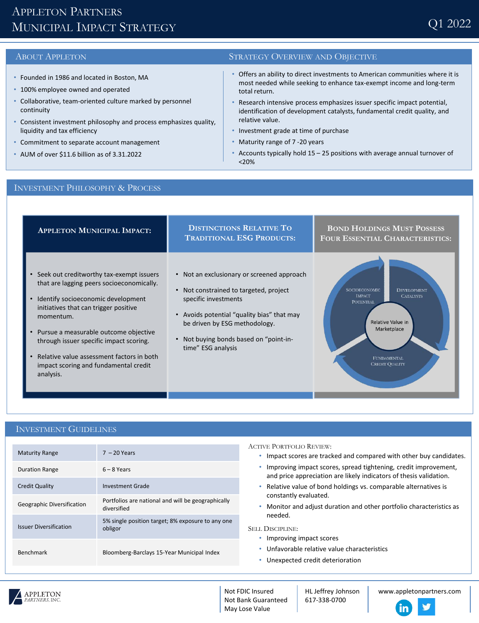# APPLETON PARTNERS MUNICIPAL IMPACT STRATEGY

- Founded in 1986 and located in Boston, MA
- 100% employee owned and operated
- Collaborative, team-oriented culture marked by personnel continuity
- Consistent investment philosophy and process emphasizes quality, liquidity and tax efficiency
- Commitment to separate account management
- AUM of over \$11.6 billion as of 3.31.2022

### ABOUT APPLETON STRATEGY OVERVIEW AND OBJECTIVE

- Offers an ability to direct investments to American communities where it is most needed while seeking to enhance tax-exempt income and long-term total return.
- Research intensive process emphasizes issuer specific impact potential, identification of development catalysts, fundamental credit quality, and relative value.
- Investment grade at time of purchase
- Maturity range of 7 -20 years
- Accounts typically hold  $15 25$  positions with average annual turnover of <20%

## INVESTMENT PHILOSOPHY & PROCESS



## INVESTMENT GUIDELINES

| <b>Maturity Range</b>         | $7 - 20$ Years                                                    |
|-------------------------------|-------------------------------------------------------------------|
| <b>Duration Range</b>         | $6 - 8$ Years                                                     |
| <b>Credit Quality</b>         | Investment Grade                                                  |
| Geographic Diversification    | Portfolios are national and will be geographically<br>diversified |
| <b>Issuer Diversification</b> | 5% single position target; 8% exposure to any one<br>obligor      |
| <b>Benchmark</b>              | Bloomberg-Barclays 15-Year Municipal Index                        |

ACTIVE PORTFOLIO REVIEW:

- Impact scores are tracked and compared with other buy candidates.
- Improving impact scores, spread tightening, credit improvement, and price appreciation are likely indicators of thesis validation.
- Relative value of bond holdings vs. comparable alternatives is constantly evaluated.
- Monitor and adjust duration and other portfolio characteristics as needed.

SELL DISCIPLINE:

- Improving impact scores
- Unfavorable relative value characteristics
- Unexpected credit deterioration



HL Jeffrey Johnson 617-338-0700

www.appletonpartners.com